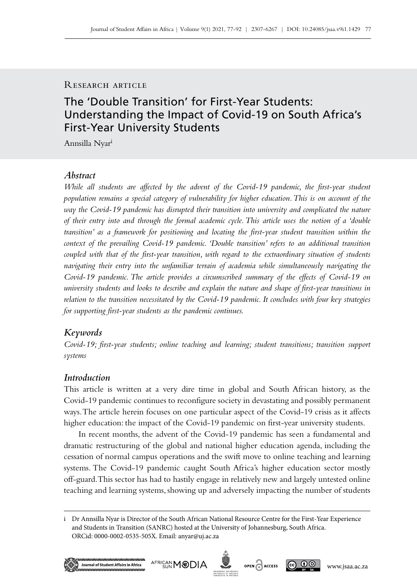## RESEARCH ARTICLE

# The 'Double Transition' for First-Year Students: Understanding the Impact of Covid-19 on South Africa's First-Year University Students

Annsilla Nyari

# *Abstract*

*While all students are affected by the advent of the Covid-19 pandemic, the first-year student population remains a special category of vulnerability for higher education. This is on account of the way the Covid‑19 pandemic has disrupted their transition into university and complicated the nature of their entry into and through the formal academic cycle. This article uses the notion of a 'double transition' as a framework for positioning and locating the first-year student transition within the context of the prevailing Covid‑19 pandemic. 'Double transition' refers to an additional transition coupled with that of the first-year transition, with regard to the extraordinary situation of students navigating their entry into the unfamiliar terrain of academia while simultaneously navigating the Covid‑19 pandemic. The article provides a circumscribed summary of the effects of Covid‑19 on university students and looks to describe and explain the nature and shape of first-year transitions in relation to the transition necessitated by the Covid‑19 pandemic. It concludes with four key strategies for supporting first-year students as the pandemic continues.* 

### *Keywords*

*Covid‑19; first-year students; online teaching and learning; student transitions; transition support systems*

#### *Introduction*

This article is written at a very dire time in global and South African history, as the Covid‑19 pandemic continues to reconfigure society in devastating and possibly permanent ways. The article herein focuses on one particular aspect of the Covid-19 crisis as it affects higher education: the impact of the Covid-19 pandemic on first-year university students.

In recent months, the advent of the Covid-19 pandemic has seen a fundamental and dramatic restructuring of the global and national higher education agenda, including the cessation of normal campus operations and the swift move to online teaching and learning systems. The Covid-19 pandemic caught South Africa's higher education sector mostly off-guard. This sector has had to hastily engage in relatively new and largely untested online teaching and learning systems, showing up and adversely impacting the number of students

i Dr Annsilla Nyar is Director of the South African National Resource Centre for the First-Year Experience and Students in Transition (SANRC) hosted at the University of Johannesburg, South Africa. ORCid: 0000-0002-0535-505X. Email: [anyar@uj.ac.za](mailto:anyar%40uj.ac.za?subject=)





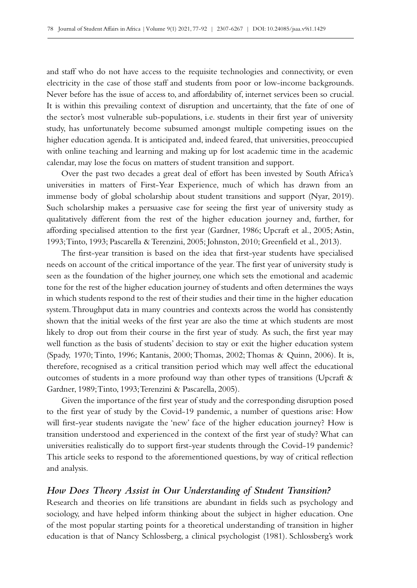and staff who do not have access to the requisite technologies and connectivity, or even electricity in the case of those staff and students from poor or low-income backgrounds. Never before has the issue of access to, and affordability of, internet services been so crucial. It is within this prevailing context of disruption and uncertainty, that the fate of one of the sector's most vulnerable sub-populations, i.e. students in their first year of university study, has unfortunately become subsumed amongst multiple competing issues on the higher education agenda. It is anticipated and, indeed feared, that universities, preoccupied with online teaching and learning and making up for lost academic time in the academic calendar, may lose the focus on matters of student transition and support.

Over the past two decades a great deal of effort has been invested by South Africa's universities in matters of First-Year Experience, much of which has drawn from an immense body of global scholarship about student transitions and support (Nyar, 2019). Such scholarship makes a persuasive case for seeing the first year of university study as qualitatively different from the rest of the higher education journey and, further, for affording specialised attention to the first year (Gardner, 1986; Upcraft et al., 2005; Astin, 1993; Tinto, 1993; Pascarella & Terenzini, 2005; Johnston, 2010; Greenfield et al., 2013).

The first-year transition is based on the idea that first-year students have specialised needs on account of the critical importance of the year. The first year of university study is seen as the foundation of the higher journey, one which sets the emotional and academic tone for the rest of the higher education journey of students and often determines the ways in which students respond to the rest of their studies and their time in the higher education system. Throughput data in many countries and contexts across the world has consistently shown that the initial weeks of the first year are also the time at which students are most likely to drop out from their course in the first year of study. As such, the first year may well function as the basis of students' decision to stay or exit the higher education system (Spady, 1970; Tinto, 1996; Kantanis, 2000; Thomas, 2002; Thomas & Quinn, 2006). It is, therefore, recognised as a critical transition period which may well affect the educational outcomes of students in a more profound way than other types of transitions (Upcraft  $\&$ Gardner, 1989; Tinto, 1993; Terenzini & Pascarella, 2005).

Given the importance of the first year of study and the corresponding disruption posed to the first year of study by the Covid–19 pandemic, a number of questions arise: How will first-year students navigate the 'new' face of the higher education journey? How is transition understood and experienced in the context of the first year of study? What can universities realistically do to support first-year students through the Covid-19 pandemic? This article seeks to respond to the aforementioned questions, by way of critical reflection and analysis.

#### *How Does Theory Assist in Our Understanding of Student Transition?*

Research and theories on life transitions are abundant in fields such as psychology and sociology, and have helped inform thinking about the subject in higher education. One of the most popular starting points for a theoretical understanding of transition in higher education is that of Nancy Schlossberg, a clinical psychologist (1981). Schlossberg's work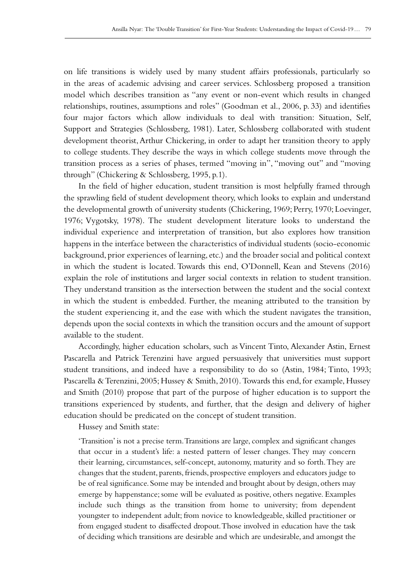on life transitions is widely used by many student affairs professionals, particularly so in the areas of academic advising and career services. Schlossberg proposed a transition model which describes transition as "any event or non-event which results in changed relationships, routines, assumptions and roles" (Goodman et al., 2006, p. 33) and identifies four major factors which allow individuals to deal with transition: Situation, Self, Support and Strategies (Schlossberg, 1981). Later, Schlossberg collaborated with student development theorist, Arthur Chickering, in order to adapt her transition theory to apply to college students. They describe the ways in which college students move through the transition process as a series of phases, termed "moving in", "moving out" and "moving through" (Chickering & Schlossberg, 1995, p.1).

In the field of higher education, student transition is most helpfully framed through the sprawling field of student development theory, which looks to explain and understand the developmental growth of university students (Chickering, 1969; Perry, 1970; Loevinger, 1976; Vygotsky, 1978). The student development literature looks to understand the individual experience and interpretation of transition, but also explores how transition happens in the interface between the characteristics of individual students (socio-economic background, prior experiences of learning, etc.) and the broader social and political context in which the student is located. Towards this end, O'Donnell, Kean and Stevens (2016) explain the role of institutions and larger social contexts in relation to student transition. They understand transition as the intersection between the student and the social context in which the student is embedded. Further, the meaning attributed to the transition by the student experiencing it, and the ease with which the student navigates the transition, depends upon the social contexts in which the transition occurs and the amount of support available to the student.

Accordingly, higher education scholars, such as Vincent Tinto, Alexander Astin, Ernest Pascarella and Patrick Terenzini have argued persuasively that universities must support student transitions, and indeed have a responsibility to do so (Astin, 1984; Tinto, 1993; Pascarella & Terenzini, 2005; Hussey & Smith, 2010). Towards this end, for example, Hussey and Smith (2010) propose that part of the purpose of higher education is to support the transitions experienced by students, and further, that the design and delivery of higher education should be predicated on the concept of student transition.

Hussey and Smith state:

'Transition' is not a precise term. Transitions are large, complex and significant changes that occur in a student's life: a nested pattern of lesser changes. They may concern their learning, circumstances, self-concept, autonomy, maturity and so forth. They are changes that the student, parents, friends, prospective employers and educators judge to be of real significance. Some may be intended and brought about by design, others may emerge by happenstance; some will be evaluated as positive, others negative. Examples include such things as the transition from home to university; from dependent youngster to independent adult; from novice to knowledgeable, skilled practitioner or from engaged student to disaffected dropout. Those involved in education have the task of deciding which transitions are desirable and which are undesirable, and amongst the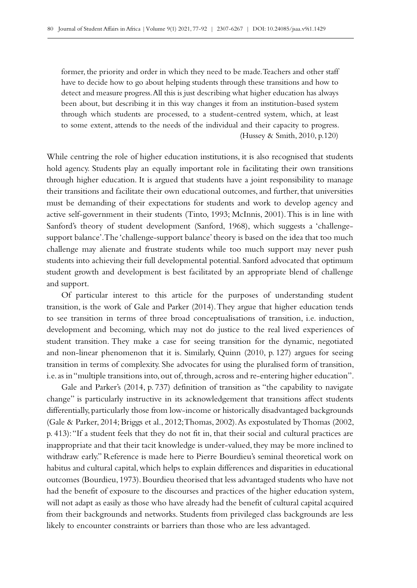former, the priority and order in which they need to be made. Teachers and other staff have to decide how to go about helping students through these transitions and how to detect and measure progress. All this is just describing what higher education has always been about, but describing it in this way changes it from an institution-based system through which students are processed, to a student-centred system, which, at least to some extent, attends to the needs of the individual and their capacity to progress. (Hussey & Smith, 2010, p.120)

While centring the role of higher education institutions, it is also recognised that students hold agency. Students play an equally important role in facilitating their own transitions through higher education. It is argued that students have a joint responsibility to manage their transitions and facilitate their own educational outcomes, and further, that universities must be demanding of their expectations for students and work to develop agency and active self-government in their students (Tinto, 1993; McInnis, 2001). This is in line with Sanford's theory of student development (Sanford, 1968), which suggests a 'challengesupport balance'. The 'challenge-support balance' theory is based on the idea that too much challenge may alienate and frustrate students while too much support may never push students into achieving their full developmental potential. Sanford advocated that optimum student growth and development is best facilitated by an appropriate blend of challenge and support.

Of particular interest to this article for the purposes of understanding student transition, is the work of Gale and Parker (2014). They argue that higher education tends to see transition in terms of three broad conceptualisations of transition, i.e. induction, development and becoming, which may not do justice to the real lived experiences of student transition. They make a case for seeing transition for the dynamic, negotiated and non-linear phenomenon that it is. Similarly, Quinn (2010, p. 127) argues for seeing transition in terms of complexity. She advocates for using the pluralised form of transition, i.e. as in "multiple transitions into, out of, through, across and re-entering higher education".

Gale and Parker's (2014, p. 737) definition of transition as "the capability to navigate change" is particularly instructive in its acknowledgement that transitions affect students differentially, particularly those from low-income or historically disadvantaged backgrounds (Gale & Parker, 2014; Briggs et al., 2012; Thomas, 2002). As expostulated by Thomas (2002, p. 413): "If a student feels that they do not fit in, that their social and cultural practices are inappropriate and that their tacit knowledge is under-valued, they may be more inclined to withdraw early." Reference is made here to Pierre Bourdieu's seminal theoretical work on habitus and cultural capital, which helps to explain differences and disparities in educational outcomes (Bourdieu, 1973). Bourdieu theorised that less advantaged students who have not had the benefit of exposure to the discourses and practices of the higher education system, will not adapt as easily as those who have already had the benefit of cultural capital acquired from their backgrounds and networks. Students from privileged class backgrounds are less likely to encounter constraints or barriers than those who are less advantaged.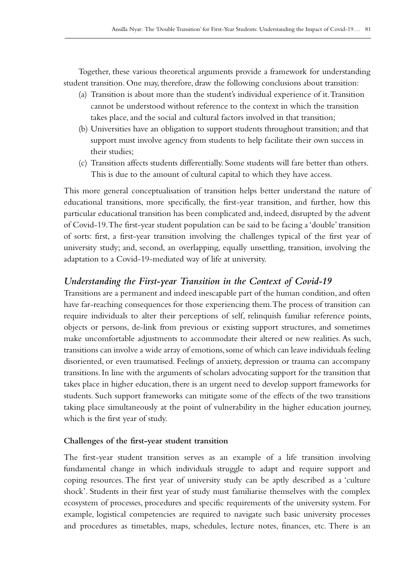Together, these various theoretical arguments provide a framework for understanding student transition. One may, therefore, draw the following conclusions about transition:

- (a) Transition is about more than the student's individual experience of it. Transition cannot be understood without reference to the context in which the transition takes place, and the social and cultural factors involved in that transition;
- (b) Universities have an obligation to support students throughout transition; and that support must involve agency from students to help facilitate their own success in their studies;
- (c) Transition affects students differentially. Some students will fare better than others. This is due to the amount of cultural capital to which they have access.

This more general conceptualisation of transition helps better understand the nature of educational transitions, more specifically, the first-year transition, and further, how this particular educational transition has been complicated and, indeed, disrupted by the advent of Covid‑19. The first-year student population can be said to be facing a 'double' transition of sorts: first, a first-year transition involving the challenges typical of the first year of university study; and, second, an overlapping, equally unsettling, transition, involving the adaptation to a Covid‑19-mediated way of life at university.

# *Understanding the First-year Transition in the Context of Covid-19*

Transitions are a permanent and indeed inescapable part of the human condition, and often have far-reaching consequences for those experiencing them. The process of transition can require individuals to alter their perceptions of self, relinquish familiar reference points, objects or persons, de-link from previous or existing support structures, and sometimes make uncomfortable adjustments to accommodate their altered or new realities. As such, transitions can involve a wide array of emotions, some of which can leave individuals feeling disoriented, or even traumatised. Feelings of anxiety, depression or trauma can accompany transitions. In line with the arguments of scholars advocating support for the transition that takes place in higher education, there is an urgent need to develop support frameworks for students. Such support frameworks can mitigate some of the effects of the two transitions taking place simultaneously at the point of vulnerability in the higher education journey, which is the first year of study.

### **Challenges of the first-year student transition**

The first-year student transition serves as an example of a life transition involving fundamental change in which individuals struggle to adapt and require support and coping resources. The first year of university study can be aptly described as a 'culture shock'. Students in their first year of study must familiarise themselves with the complex ecosystem of processes, procedures and specific requirements of the university system. For example, logistical competencies are required to navigate such basic university processes and procedures as timetables, maps, schedules, lecture notes, finances, etc. There is an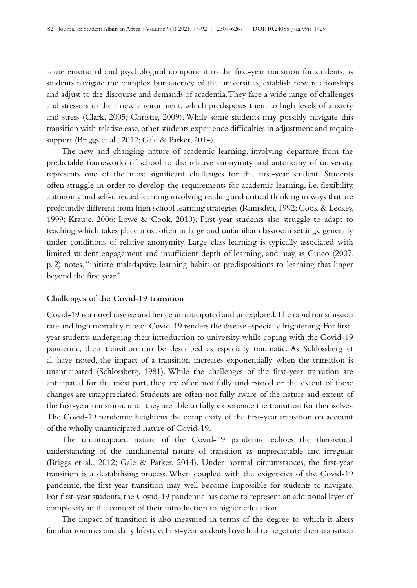acute emotional and psychological component to the first-year transition for students, as students navigate the complex bureaucracy of the universities, establish new relationships and adjust to the discourse and demands of academia. They face a wide range of challenges and stressors in their new environment, which predisposes them to high levels of anxiety and stress (Clark, 2005; Christie, 2009). While some students may possibly navigate this transition with relative ease, other students experience difficulties in adjustment and require support (Briggs et al., 2012; Gale & Parker, 2014).

The new and changing nature of academic learning, involving departure from the predictable frameworks of school to the relative anonymity and autonomy of university, represents one of the most significant challenges for the first-year student. Students often struggle in order to develop the requirements for academic learning, i.e. flexibility, autonomy and self-directed learning involving reading and critical thinking in ways that are profoundly different from high school learning strategies (Ramsden, 1992; Cook & Leckey, 1999; Krause, 2006; Lowe & Cook, 2010). First-year students also struggle to adapt to teaching which takes place most often in large and unfamiliar classroom settings, generally under conditions of relative anonymity. Large class learning is typically associated with limited student engagement and insufficient depth of learning, and may, as Cuseo (2007, p. 2) notes, "initiate maladaptive learning habits or predispositions to learning that linger beyond the first year".

### **Challenges of the Covid-19 transition**

Covid‑19 is a novel disease and hence unanticipated and unexplored. The rapid transmission rate and high mortality rate of Covid–19 renders the disease especially frightening. For firstyear students undergoing their introduction to university while coping with the Covid-19 pandemic, their transition can be described as especially traumatic. As Schlossberg et al. have noted, the impact of a transition increases exponentially when the transition is unanticipated (Schlossberg, 1981). While the challenges of the first-year transition are anticipated for the most part, they are often not fully understood or the extent of those changes are unappreciated. Students are often not fully aware of the nature and extent of the first-year transition, until they are able to fully experience the transition for themselves. The Covid-19 pandemic heightens the complexity of the first-year transition on account of the wholly unanticipated nature of Covid-19.

The unanticipated nature of the Covid-19 pandemic echoes the theoretical understanding of the fundamental nature of transition as unpredictable and irregular (Briggs et al., 2012; Gale & Parker, 2014). Under normal circumstances, the first-year transition is a destabilising process. When coupled with the exigencies of the Covid–19 pandemic, the first-year transition may well become impossible for students to navigate. For first-year students, the Covid-19 pandemic has come to represent an additional layer of complexity in the context of their introduction to higher education.

The impact of transition is also measured in terms of the degree to which it alters familiar routines and daily lifestyle. First-year students have had to negotiate their transition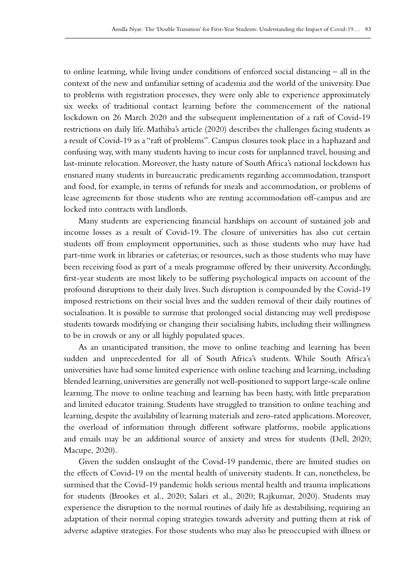to online learning, while living under conditions of enforced social distancing – all in the context of the new and unfamiliar setting of academia and the world of the university. Due to problems with registration processes, they were only able to experience approximately six weeks of traditional contact learning before the commencement of the national lockdown on 26 March 2020 and the subsequent implementation of a raft of Covid-19 restrictions on daily life. Mathiba's article (2020) describes the challenges facing students as a result of Covid-19 as a "raft of problems". Campus closures took place in a haphazard and confusing way, with many students having to incur costs for unplanned travel, housing and last-minute relocation. Moreover, the hasty nature of South Africa's national lockdown has ensnared many students in bureaucratic predicaments regarding accommodation, transport and food, for example, in terms of refunds for meals and accommodation, or problems of lease agreements for those students who are renting accommodation off‑campus and are locked into contracts with landlords.

Many students are experiencing financial hardships on account of sustained job and income losses as a result of Covid-19. The closure of universities has also cut certain students off from employment opportunities, such as those students who may have had part-time work in libraries or cafeterias; or resources, such as those students who may have been receiving food as part of a meals programme offered by their university. Accordingly, first-year students are most likely to be suffering psychological impacts on account of the profound disruptions to their daily lives. Such disruption is compounded by the Covid-19 imposed restrictions on their social lives and the sudden removal of their daily routines of socialisation. It is possible to surmise that prolonged social distancing may well predispose students towards modifying or changing their socialising habits, including their willingness to be in crowds or any or all highly populated spaces.

As an unanticipated transition, the move to online teaching and learning has been sudden and unprecedented for all of South Africa's students. While South Africa's universities have had some limited experience with online teaching and learning, including blended learning, universities are generally not well-positioned to support large-scale online learning. The move to online teaching and learning has been hasty, with little preparation and limited educator training. Students have struggled to transition to online teaching and learning, despite the availability of learning materials and zero-rated applications. Moreover, the overload of information through different software platforms, mobile applications and emails may be an additional source of anxiety and stress for students (Dell, 2020; Macupe, 2020).

Given the sudden onslaught of the Covid–19 pandemic, there are limited studies on the effects of Covid‑19 on the mental health of university students. It can, nonetheless, be surmised that the Covid-19 pandemic holds serious mental health and trauma implications for students (Brookes et al., 2020; Salari et al., 2020; Rajkumar, 2020). Students may experience the disruption to the normal routines of daily life as destabilising, requiring an adaptation of their normal coping strategies towards adversity and putting them at risk of adverse adaptive strategies. For those students who may also be preoccupied with illness or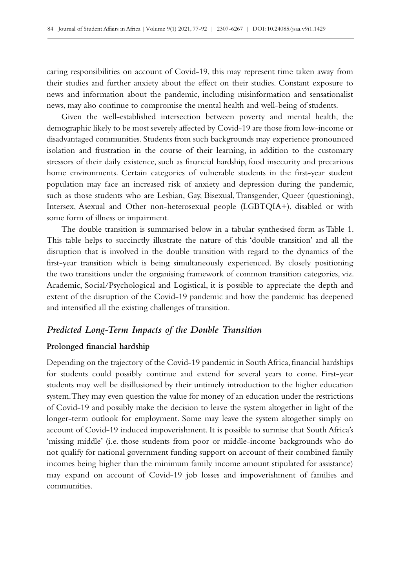caring responsibilities on account of Covid‑19, this may represent time taken away from their studies and further anxiety about the effect on their studies. Constant exposure to news and information about the pandemic, including misinformation and sensationalist news, may also continue to compromise the mental health and well-being of students.

Given the well-established intersection between poverty and mental health, the demographic likely to be most severely affected by Covid-19 are those from low-income or disadvantaged communities. Students from such backgrounds may experience pronounced isolation and frustration in the course of their learning, in addition to the customary stressors of their daily existence, such as financial hardship, food insecurity and precarious home environments. Certain categories of vulnerable students in the first-year student population may face an increased risk of anxiety and depression during the pandemic, such as those students who are Lesbian, Gay, Bisexual, Transgender, Queer (questioning), Intersex, Asexual and Other non-heterosexual people (LGBTQIA+), disabled or with some form of illness or impairment.

The double transition is summarised below in a tabular synthesised form as Table 1. This table helps to succinctly illustrate the nature of this 'double transition' and all the disruption that is involved in the double transition with regard to the dynamics of the first-year transition which is being simultaneously experienced. By closely positioning the two transitions under the organising framework of common transition categories, viz. Academic, Social/Psychological and Logistical, it is possible to appreciate the depth and extent of the disruption of the Covid-19 pandemic and how the pandemic has deepened and intensified all the existing challenges of transition.

## *Predicted Long-Term Impacts of the Double Transition*

#### **Prolonged financial hardship**

Depending on the trajectory of the Covid–19 pandemic in South Africa, financial hardships for students could possibly continue and extend for several years to come. First-year students may well be disillusioned by their untimely introduction to the higher education system. They may even question the value for money of an education under the restrictions of Covid‑19 and possibly make the decision to leave the system altogether in light of the longer-term outlook for employment. Some may leave the system altogether simply on account of Covid‑19 induced impoverishment. It is possible to surmise that South Africa's 'missing middle' (i.e. those students from poor or middle-income backgrounds who do not qualify for national government funding support on account of their combined family incomes being higher than the minimum family income amount stipulated for assistance) may expand on account of Covid-19 job losses and impoverishment of families and communities.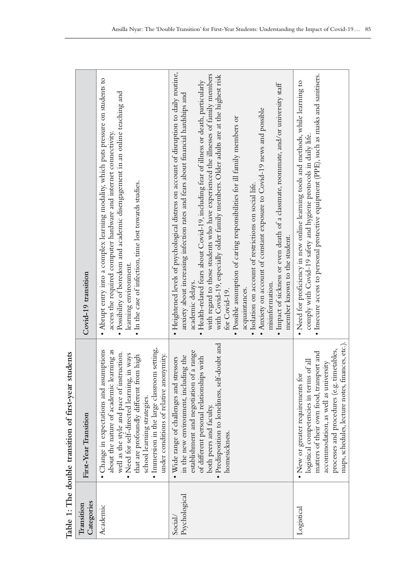| Categories<br>Transition | First-Year Transition                                                                                                                                                                                                                                                                                                                                | Covid-19 transition                                                                                                                                                                                                                                                                                                                                                                                                                                                                                                                                                                                                                                                                                                                                                                                                                                                      |
|--------------------------|------------------------------------------------------------------------------------------------------------------------------------------------------------------------------------------------------------------------------------------------------------------------------------------------------------------------------------------------------|--------------------------------------------------------------------------------------------------------------------------------------------------------------------------------------------------------------------------------------------------------------------------------------------------------------------------------------------------------------------------------------------------------------------------------------------------------------------------------------------------------------------------------------------------------------------------------------------------------------------------------------------------------------------------------------------------------------------------------------------------------------------------------------------------------------------------------------------------------------------------|
| Academic                 | · Immersion in the large classroom setting,<br>• Change in expectations and assumptions<br>about the nature of academic learning as<br>well as the style and pace of instruction.<br>• Need for self-directed learning, in ways<br>that are profoundly different from high<br>under conditions of relative anonymity.<br>school learning strategies. | • Abrupt entry into a complex learning modality, which puts pressure on students to<br>· Possibility of boredom and academic disengagement in an online teaching and<br>access the required computer hardware and internet connectivity.<br>. In the case of infection, time lost towards studies.<br>learning environment                                                                                                                                                                                                                                                                                                                                                                                                                                                                                                                                               |
| Psychological<br>Social/ | · Predisposition to loneliness, self-doubt and<br>establishment and negotiation of a range<br>in the new environment, including the<br>of different personal relationships with<br>. Wide range of challenges and stressors<br>both peers and faculty<br>homesickness.                                                                               | · Heightened levels of psychological distress on account of disruption to daily routine,<br>with regard to those students who have experienced the illnesses of family members<br>with Covid-19, especially older family members. Older adults are at the highest risk<br>Health-related fears about Covid-19, including fear of illness or death, particularly<br>· Impact of sickness or even death of a classmate, roommate, and/or university staff<br>anxiety about increasing infection rates and fears about financial hardships and<br>• Anxiety on account of constant exposure to Covid-19 news and possible<br>· Possible assumption of caring responsibilities for ill family members or<br>· Isolation on account of restrictions on social life.<br>member known to the student.<br>academic delays.<br>misinformation.<br>acquaintances.<br>for Covid-19. |
| Logistical               | maps, schedules, lecture notes, finances, etc.).<br>processes and procedures (e.g. timetables,<br>matters of their own food, transport and<br>logistical competencies in terms of all<br>accommodation, as well as university<br>• New or greater requirements for                                                                                   | · Insecure access to personal protective equipment (PPE), such as masks and sanitisers.<br>· Need for proficiency in new online learning tools and methods, while learning to<br>comply with Covid-19 safety and hygiene protocols in daily life.                                                                                                                                                                                                                                                                                                                                                                                                                                                                                                                                                                                                                        |

Table 1: The double transition of first-year students **Table 1: The double transition of first-year students**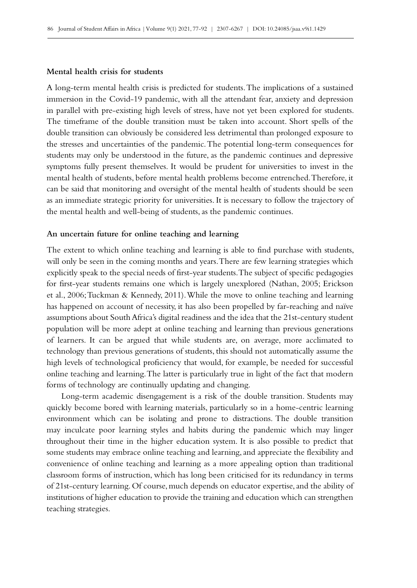#### **Mental health crisis for students**

A long-term mental health crisis is predicted for students. The implications of a sustained immersion in the Covid–19 pandemic, with all the attendant fear, anxiety and depression in parallel with pre-existing high levels of stress, have not yet been explored for students. The timeframe of the double transition must be taken into account. Short spells of the double transition can obviously be considered less detrimental than prolonged exposure to the stresses and uncertainties of the pandemic. The potential long-term consequences for students may only be understood in the future, as the pandemic continues and depressive symptoms fully present themselves. It would be prudent for universities to invest in the mental health of students, before mental health problems become entrenched. Therefore, it can be said that monitoring and oversight of the mental health of students should be seen as an immediate strategic priority for universities. It is necessary to follow the trajectory of the mental health and well‑being of students, as the pandemic continues.

#### **An uncertain future for online teaching and learning**

The extent to which online teaching and learning is able to find purchase with students, will only be seen in the coming months and years. There are few learning strategies which explicitly speak to the special needs of first-year students. The subject of specific pedagogies for first-year students remains one which is largely unexplored (Nathan, 2005; Erickson et al., 2006; Tuckman & Kennedy, 2011). While the move to online teaching and learning has happened on account of necessity, it has also been propelled by far-reaching and naïve assumptions about South Africa's digital readiness and the idea that the 21st-century student population will be more adept at online teaching and learning than previous generations of learners. It can be argued that while students are, on average, more acclimated to technology than previous generations of students, this should not automatically assume the high levels of technological proficiency that would, for example, be needed for successful online teaching and learning. The latter is particularly true in light of the fact that modern forms of technology are continually updating and changing.

Long-term academic disengagement is a risk of the double transition. Students may quickly become bored with learning materials, particularly so in a home-centric learning environment which can be isolating and prone to distractions. The double transition may inculcate poor learning styles and habits during the pandemic which may linger throughout their time in the higher education system. It is also possible to predict that some students may embrace online teaching and learning, and appreciate the flexibility and convenience of online teaching and learning as a more appealing option than traditional classroom forms of instruction, which has long been criticised for its redundancy in terms of 21st‑century learning. Of course, much depends on educator expertise, and the ability of institutions of higher education to provide the training and education which can strengthen teaching strategies.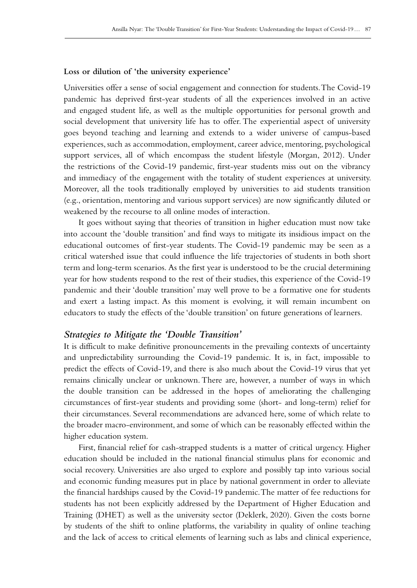#### **Loss or dilution of 'the university experience'**

Universities offer a sense of social engagement and connection for students. The Covid‑19 pandemic has deprived first-year students of all the experiences involved in an active and engaged student life, as well as the multiple opportunities for personal growth and social development that university life has to offer. The experiential aspect of university goes beyond teaching and learning and extends to a wider universe of campus-based experiences, such as accommodation, employment, career advice, mentoring, psychological support services, all of which encompass the student lifestyle (Morgan, 2012). Under the restrictions of the Covid-19 pandemic, first-year students miss out on the vibrancy and immediacy of the engagement with the totality of student experiences at university. Moreover, all the tools traditionally employed by universities to aid students transition (e.g., orientation, mentoring and various support services) are now significantly diluted or weakened by the recourse to all online modes of interaction.

It goes without saying that theories of transition in higher education must now take into account the 'double transition' and find ways to mitigate its insidious impact on the educational outcomes of first-year students. The Covid-19 pandemic may be seen as a critical watershed issue that could influence the life trajectories of students in both short term and long-term scenarios. As the first year is understood to be the crucial determining year for how students respond to the rest of their studies, this experience of the Covid-19 pandemic and their 'double transition' may well prove to be a formative one for students and exert a lasting impact. As this moment is evolving, it will remain incumbent on educators to study the effects of the 'double transition' on future generations of learners.

### *Strategies to Mitigate the 'Double Transition'*

It is difficult to make definitive pronouncements in the prevailing contexts of uncertainty and unpredictability surrounding the Covid‑19 pandemic. It is, in fact, impossible to predict the effects of Covid‑19, and there is also much about the Covid‑19 virus that yet remains clinically unclear or unknown. There are, however, a number of ways in which the double transition can be addressed in the hopes of ameliorating the challenging circumstances of first-year students and providing some (short- and long-term) relief for their circumstances. Several recommendations are advanced here, some of which relate to the broader macro-environment, and some of which can be reasonably effected within the higher education system.

First, financial relief for cash-strapped students is a matter of critical urgency. Higher education should be included in the national financial stimulus plans for economic and social recovery. Universities are also urged to explore and possibly tap into various social and economic funding measures put in place by national government in order to alleviate the financial hardships caused by the Covid‑19 pandemic. The matter of fee reductions for students has not been explicitly addressed by the Department of Higher Education and Training (DHET) as well as the university sector (Deklerk, 2020). Given the costs borne by students of the shift to online platforms, the variability in quality of online teaching and the lack of access to critical elements of learning such as labs and clinical experience,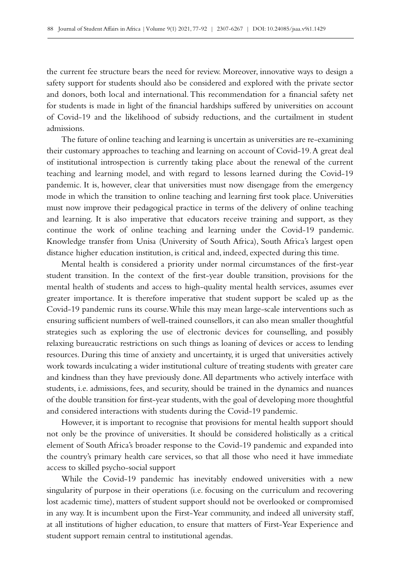the current fee structure bears the need for review. Moreover, innovative ways to design a safety support for students should also be considered and explored with the private sector and donors, both local and international. This recommendation for a financial safety net for students is made in light of the financial hardships suffered by universities on account of Covid‑19 and the likelihood of subsidy reductions, and the curtailment in student admissions.

The future of online teaching and learning is uncertain as universities are re–examining their customary approaches to teaching and learning on account of Covid-19. A great deal of institutional introspection is currently taking place about the renewal of the current teaching and learning model, and with regard to lessons learned during the Covid‑19 pandemic. It is, however, clear that universities must now disengage from the emergency mode in which the transition to online teaching and learning first took place. Universities must now improve their pedagogical practice in terms of the delivery of online teaching and learning. It is also imperative that educators receive training and support, as they continue the work of online teaching and learning under the Covid–19 pandemic. Knowledge transfer from Unisa (University of South Africa), South Africa's largest open distance higher education institution, is critical and, indeed, expected during this time.

Mental health is considered a priority under normal circumstances of the first-year student transition. In the context of the first-year double transition, provisions for the mental health of students and access to high-quality mental health services, assumes ever greater importance. It is therefore imperative that student support be scaled up as the Covid‑19 pandemic runs its course. While this may mean large-scale interventions such as ensuring sufficient numbers of well-trained counsellors, it can also mean smaller thoughtful strategies such as exploring the use of electronic devices for counselling, and possibly relaxing bureaucratic restrictions on such things as loaning of devices or access to lending resources. During this time of anxiety and uncertainty, it is urged that universities actively work towards inculcating a wider institutional culture of treating students with greater care and kindness than they have previously done. All departments who actively interface with students, i.e. admissions, fees, and security, should be trained in the dynamics and nuances of the double transition for first-year students, with the goal of developing more thoughtful and considered interactions with students during the Covid-19 pandemic.

However, it is important to recognise that provisions for mental health support should not only be the province of universities. It should be considered holistically as a critical element of South Africa's broader response to the Covid-19 pandemic and expanded into the country's primary health care services, so that all those who need it have immediate access to skilled psycho-social support

While the Covid-19 pandemic has inevitably endowed universities with a new singularity of purpose in their operations (i.e. focusing on the curriculum and recovering lost academic time), matters of student support should not be overlooked or compromised in any way. It is incumbent upon the First-Year community, and indeed all university staff, at all institutions of higher education, to ensure that matters of First-Year Experience and student support remain central to institutional agendas.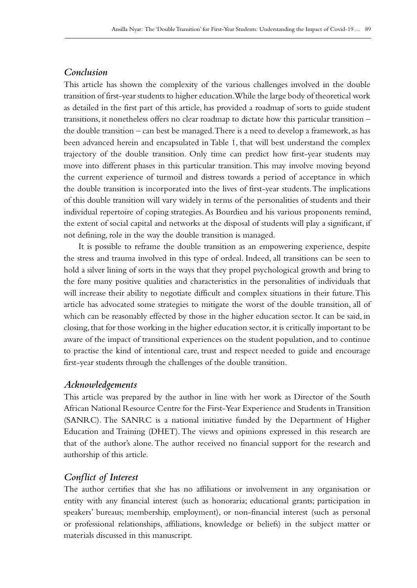# *Conclusion*

This article has shown the complexity of the various challenges involved in the double transition of first-year students to higher education. While the large body of theoretical work as detailed in the first part of this article, has provided a roadmap of sorts to guide student transitions, it nonetheless offers no clear roadmap to dictate how this particular transition – the double transition – can best be managed. There is a need to develop a framework, as has been advanced herein and encapsulated in Table 1, that will best understand the complex trajectory of the double transition. Only time can predict how first-year students may move into different phases in this particular transition. This may involve moving beyond the current experience of turmoil and distress towards a period of acceptance in which the double transition is incorporated into the lives of first-year students. The implications of this double transition will vary widely in terms of the personalities of students and their individual repertoire of coping strategies. As Bourdieu and his various proponents remind, the extent of social capital and networks at the disposal of students will play a significant, if not defining, role in the way the double transition is managed.

It is possible to reframe the double transition as an empowering experience, despite the stress and trauma involved in this type of ordeal. Indeed, all transitions can be seen to hold a silver lining of sorts in the ways that they propel psychological growth and bring to the fore many positive qualities and characteristics in the personalities of individuals that will increase their ability to negotiate difficult and complex situations in their future. This article has advocated some strategies to mitigate the worst of the double transition, all of which can be reasonably effected by those in the higher education sector. It can be said, in closing, that for those working in the higher education sector, it is critically important to be aware of the impact of transitional experiences on the student population, and to continue to practise the kind of intentional care, trust and respect needed to guide and encourage first-year students through the challenges of the double transition.

# *Acknowledgements*

This article was prepared by the author in line with her work as Director of the South African National Resource Centre for the First-Year Experience and Students in Transition (SANRC). The SANRC is a national initiative funded by the Department of Higher Education and Training (DHET). The views and opinions expressed in this research are that of the author's alone. The author received no financial support for the research and authorship of this article.

# *Conflict of Interest*

The author certifies that she has no affiliations or involvement in any organisation or entity with any financial interest (such as honoraria; educational grants; participation in speakers' bureaus; membership, employment), or non-financial interest (such as personal or professional relationships, affiliations, knowledge or beliefs) in the subject matter or materials discussed in this manuscript.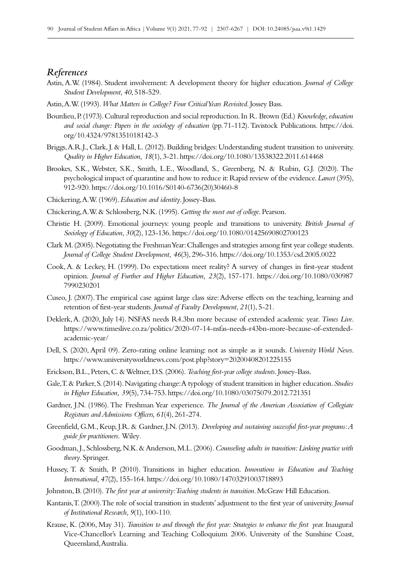#### *References*

- Astin, A.W. (1984). Student involvement: A development theory for higher education. *Journal of College Student Development, 40*, 518‑529.
- Astin, A.W. (1993). *What Matters in College? Four Critical Years Revisited*. Jossey Bass.
- Bourdieu, P. (1973). Cultural reproduction and social reproduction. In R. Brown (Ed.) *Knowledge, education and social change: Papers in the sociology of education* (pp.71‑112). Tavistock Publications. [https://doi.](https://doi.org/10.4324/9781351018142-3) [org/10.4324/9781351018142-3](https://doi.org/10.4324/9781351018142-3)
- Briggs, A.R.J., Clark, J. & Hall, L. (2012). Building bridges: Understanding student transition to university. *Quality in Higher Education, 18*(1), 3‑21. <https://doi.org/10.1080/13538322.2011.614468>
- Brookes, S.K., Webster, S.K., Smith, L.E., Woodland, S., Greenberg, N. & Rubin, G.J. (2020). The psychological impact of quarantine and how to reduce it: Rapid review of the evidence. *Lancet* (395), 912‑920. [https://doi.org/10.1016/S0140-6736\(20\)30460-8](https://doi.org/10.1016/S0140-6736(20)30460-8)
- Chickering, A.W. (1969). *Education and identity*. Jossey-Bass.
- Chickering, A.W. & Schlossberg, N.K. (1995). *Getting the most out of college*. Pearson.
- Christie H. (2009). Emotional journeys: young people and transitions to university. *British Journal of Sociology of Education, 30*(2), 123‑136.<https://doi.org/10.1080/01425690802700123>
- Clark M. (2005). Negotiating the Freshman Year: Challenges and strategies among first year college students. *Journal of College Student Development, 46*(3), 296‑316.<https://doi.org/10.1353/csd.2005.0022>
- Cook, A. & Leckey, H. (1999). Do expectations meet reality? A survey of changes in first-year student opinion. *Journal of Further and Higher Education, 23*(2), 157‑171. [https://doi.org/10.1080/030987](https://doi.org/10.1080/0309877990230201) [7990230201](https://doi.org/10.1080/0309877990230201)
- Cuseo, J. (2007). The empirical case against large class size: Adverse effects on the teaching, learning and retention of first-year students. *Journal of Faculty Development*, 21(1), 5-21.
- Deklerk, A. (2020, July 14). NSFAS needs R4.3bn more because of extended academic year. *Times Live*. [https://www.timeslive.co.za/politics/2020-07-14-nsfas-needs-r43bn-more-because-of-extended](https://www.timeslive.co.za/politics/2020-07-14-nsfas-needs-r43bn-more-because-of-extended-academic-)[academic-year/](https://www.timeslive.co.za/politics/2020-07-14-nsfas-needs-r43bn-more-because-of-extended-academic-)
- Dell, S. (2020, April 09). Zero-rating online learning: not as simple as it sounds. *University World News*. <https://www.universityworldnews.com/post.php?story=20200408201225155>
- Erickson, B.L., Peters, C. & Weltner, D.S. (2006). *Teaching first-year college students*. Jossey-Bass.
- Gale, T. & Parker, S. (2014). Navigating change: A typology of student transition in higher education. *Studies in Higher Education, 39*(5), 734‑753.<https://doi.org/10.1080/03075079.2012.721351>
- Gardner, J.N. (1986). The Freshman Year experience. *The Journal of the American Association of Collegiate Registrars and Admissions Officers, 61*(4), 261‑274.
- Greenfield, G.M., Keup, J.R. & Gardner, J.N. (2013). *Developing and sustaining successful first-year programs: A guide for practitioners*. Wiley*.*
- Goodman, J., Schlossberg, N.K. & Anderson, M.L. (2006). *Counseling adults in transition: Linking practice with theory*. Springer.
- Hussey, T. & Smith, P. (2010). Transitions in higher education. *Innovations in Education and Teaching International, 47*(2), 155‑164.<https://doi.org/10.1080/14703291003718893>
- Johnston, B. (2010). *The first year at university: Teaching students in transition*. McGraw Hill Education.
- Kantanis, T. (2000). The role of social transition in students' adjustment to the first year of university. *Journal of Institutional Research, 9*(1), 100‑110.
- Krause, K. (2006, May 31). *Transition to and through the first year: Strategies to enhance the first year.* Inaugural Vice-Chancellor's Learning and Teaching Colloquium 2006. University of the Sunshine Coast, Queensland, Australia.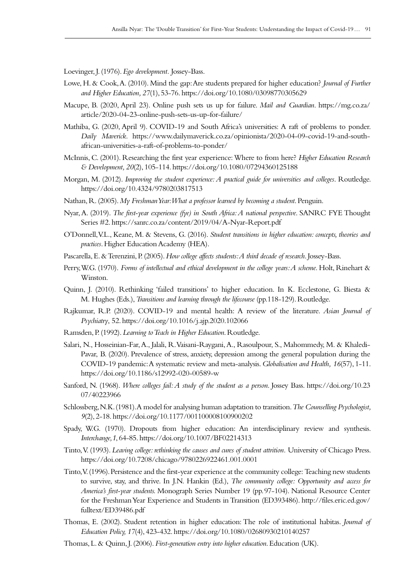Loevinger, J. (1976). *Ego development.* Jossey-Bass.

- Lowe, H. & Cook, A. (2010). Mind the gap: Are students prepared for higher education? *Journal of Further and Higher Education, 27*(1), 53‑76. <https://doi.org/10.1080/03098770305629>
- Macupe, B. (2020, April 23). Online push sets us up for failure. *Mail and Guardian*. [https://mg.co.za/](https://mg.co.za/article/2020-04-23-online-push-sets-us-up-for-failure/) [article/2020-04-23-online-push-sets-us-up-for-failure/](https://mg.co.za/article/2020-04-23-online-push-sets-us-up-for-failure/)
- Mathiba, G. (2020, April 9). COVID-19 and South Africa's universities: A raft of problems to ponder. *Daily Maverick*. [https://www.dailymaverick.co.za/opinionista/2020-04-09-covid-19-and-south](https://www.dailymaverick.co.za/opinionista/2020-04-09-covid-19-and-south-african-universities-a-raf)[african-universities-a-raft-of-problems-to-ponder/](https://www.dailymaverick.co.za/opinionista/2020-04-09-covid-19-and-south-african-universities-a-raf)
- McInnis, C. (2001). Researching the first year experience: Where to from here? *Higher Education Research & Development, 20*(2), 105‑114.<https://doi.org/10.1080/07294360125188>
- Morgan, M. (2012). *Improving the student experience: A practical guide for universities and colleges*. Routledge. <https://doi.org/10.4324/9780203817513>
- Nathan, R. (2005). *My Freshman Year: What a professor learned by becoming a student*. Penguin.
- Nyar, A. (2019). *The first-year experience (fye) in South Africa: A national perspective*. SANRC FYE Thought Series #2.<https://sanrc.co.za/content/2019/04/A-Nyar-Report.pdf>
- O'Donnell, V.L., Keane, M. & Stevens, G. (2016). *Student transitions in higher education: concepts, theories and practices*. Higher Education Academy (HEA).
- Pascarella, E. & Terenzini, P. (2005). *How college affects students: A third decade of research*. Jossey-Bass.
- Perry, W.G. (1970). *Forms of intellectual and ethical development in the college years: A scheme.* Holt, Rinehart & Winston.
- Quinn, J. (2010). Rethinking 'failed transitions' to higher education. In K. Ecclestone, G. Biesta & M. Hughes (Eds.), *Transitions and learning through the lifecourse* (pp.118‑129). Routledge.
- Rajkumar, R.P. (2020). COVID-19 and mental health: A review of the literature. *Asian Journal of Psychiatry*, 52.<https://doi.org/10.1016/j.ajp.2020.102066>
- Ramsden, P. (1992). *Learning to Teach in Higher Education*. Routledge.
- Salari, N., Hosseinian-Far, A., Jalali, R. Vaisani-Raygani, A., Rasoulpour, S., Mahommedy, M. & Khaledi-Pavar, B. (2020). Prevalence of stress, anxiety, depression among the general population during the COVID‑19 pandemic: A systematic review and meta-analysis. *Globalisation and Health, 16*(57), 1‑11. <https://doi.org/10.1186/s12992-020-00589-w>
- Sanford, N. (1968). *Where colleges fail: A study of the student as a person*. Jossey Bass. [https://doi.org/10.23](https://doi.org/10.2307/40223966) [07/40223966](https://doi.org/10.2307/40223966)
- Schlossberg, N.K. (1981). A model for analysing human adaptation to transition. *The Counselling Psychologist, 9*(2), 2‑18.<https://doi.org/10.1177/001100008100900202>
- Spady, W.G. (1970). Dropouts from higher education: An interdisciplinary review and synthesis. *Interchange,1*, 64‑85.<https://doi.org/10.1007/BF02214313>
- Tinto, V. (1993). *Leaving college: rethinking the causes and cures of student attrition.* University of Chicago Press. <https://doi.org/10.7208/chicago/9780226922461.001.0001>
- Tinto, V. (1996). Persistence and the first-year experience at the community college: Teaching new students to survive, stay, and thrive. In J.N. Hankin (Ed.), *The community college: Opportunity and access for America's first-year students.* Monograph Series Number 19 (pp. 97‑104). National Resource Center for the Freshman Year Experience and Students in Transition (ED393486). [http://files.eric.ed.gov/](http://files.eric.ed.gov/fulltext/ED39486.pdf) [fulltext/ED39486.pdf](http://files.eric.ed.gov/fulltext/ED39486.pdf)
- Thomas, E. (2002). Student retention in higher education: The role of institutional habitas. *Journal of Education Policy, 17*(4), 423‑432. <https://doi.org/10.1080/02680930210140257>
- Thomas, L. & Quinn, J. (2006). *First-generation entry into higher education*. Education (UK).